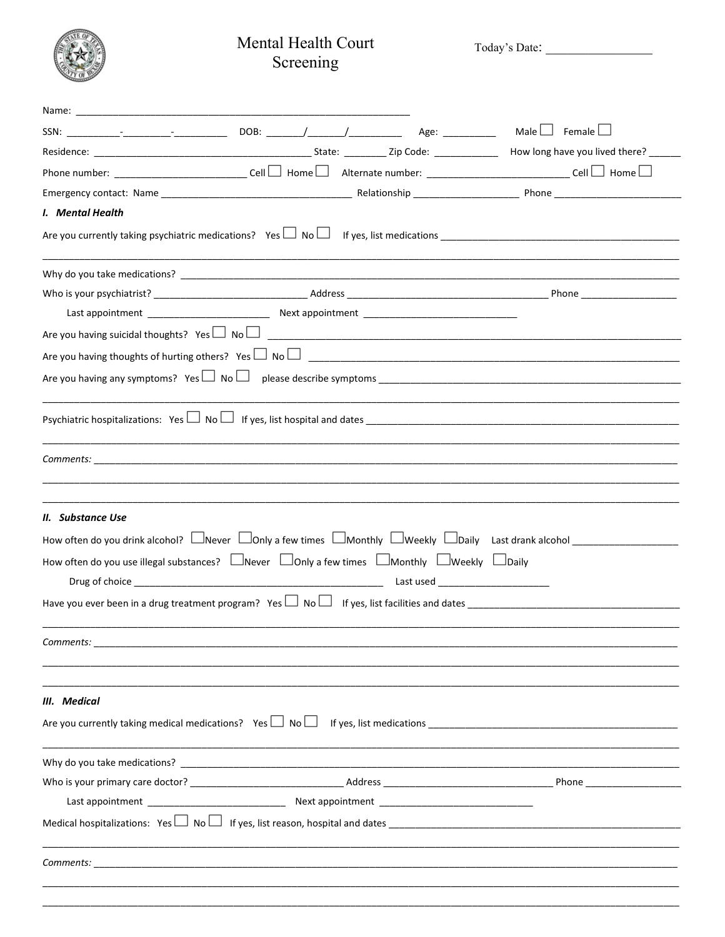## Mental Health Court Screening

Today's Date:

|                                                                                                                                              |  |  | Male $\Box$ Female $\Box$                                                                                                                                                                                                                   |
|----------------------------------------------------------------------------------------------------------------------------------------------|--|--|---------------------------------------------------------------------------------------------------------------------------------------------------------------------------------------------------------------------------------------------|
|                                                                                                                                              |  |  | How long have you lived there? _____                                                                                                                                                                                                        |
|                                                                                                                                              |  |  | Phone number: ____________________________Cell $\Box$ Home $\Box$ Alternate number: ______________________________Cell $\Box$ Home $\Box$                                                                                                   |
|                                                                                                                                              |  |  |                                                                                                                                                                                                                                             |
| I. Mental Health                                                                                                                             |  |  |                                                                                                                                                                                                                                             |
|                                                                                                                                              |  |  |                                                                                                                                                                                                                                             |
|                                                                                                                                              |  |  |                                                                                                                                                                                                                                             |
|                                                                                                                                              |  |  |                                                                                                                                                                                                                                             |
|                                                                                                                                              |  |  |                                                                                                                                                                                                                                             |
|                                                                                                                                              |  |  |                                                                                                                                                                                                                                             |
|                                                                                                                                              |  |  |                                                                                                                                                                                                                                             |
|                                                                                                                                              |  |  |                                                                                                                                                                                                                                             |
|                                                                                                                                              |  |  |                                                                                                                                                                                                                                             |
|                                                                                                                                              |  |  |                                                                                                                                                                                                                                             |
| II. Substance Use<br>How often do you use illegal substances? $\Box$ Never $\Box$ Only a few times $\Box$ Monthly $\Box$ Weekly $\Box$ Daily |  |  | How often do you drink alcohol? $\Box$ Never $\Box$ Only a few times $\Box$ Monthly $\Box$ Weekly $\Box$ Daily Last drank alcohol<br>Have you ever been in a drug treatment program? Yes $\Box$ No $\Box$ If yes, list facilities and dates |
| Comments:                                                                                                                                    |  |  |                                                                                                                                                                                                                                             |
| III. Medical                                                                                                                                 |  |  |                                                                                                                                                                                                                                             |
|                                                                                                                                              |  |  |                                                                                                                                                                                                                                             |
|                                                                                                                                              |  |  |                                                                                                                                                                                                                                             |
|                                                                                                                                              |  |  |                                                                                                                                                                                                                                             |
|                                                                                                                                              |  |  |                                                                                                                                                                                                                                             |
|                                                                                                                                              |  |  |                                                                                                                                                                                                                                             |
|                                                                                                                                              |  |  |                                                                                                                                                                                                                                             |